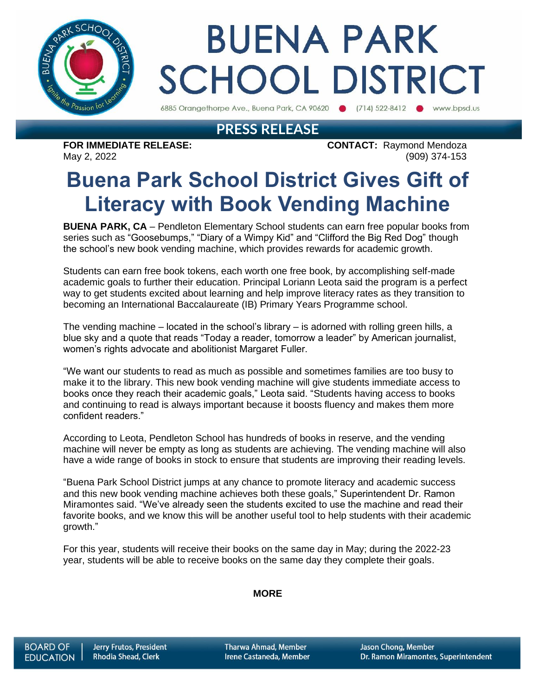

# **BUENA PARK SCHOOL DISTRICT**

6885 Orangethorpe Ave., Buena Park, CA 90620 (714) 522-8412 www.bpsd.us

### **PRESS RELEASE**

**FOR IMMEDIATE RELEASE: CONTACT:** Raymond Mendoza May 2, 2022 (909) 374-153

## **Buena Park School District Gives Gift of Literacy with Book Vending Machine**

**BUENA PARK, CA** – Pendleton Elementary School students can earn free popular books from series such as "Goosebumps," "Diary of a Wimpy Kid" and "Clifford the Big Red Dog" though the school's new book vending machine, which provides rewards for academic growth.

Students can earn free book tokens, each worth one free book, by accomplishing self-made academic goals to further their education. Principal Loriann Leota said the program is a perfect way to get students excited about learning and help improve literacy rates as they transition to becoming an International Baccalaureate (IB) Primary Years Programme school.

The vending machine – located in the school's library – is adorned with rolling green hills, a blue sky and a quote that reads "Today a reader, tomorrow a leader" by American journalist, women's rights advocate and abolitionist Margaret Fuller.

"We want our students to read as much as possible and sometimes families are too busy to make it to the library. This new book vending machine will give students immediate access to books once they reach their academic goals," Leota said. "Students having access to books and continuing to read is always important because it boosts fluency and makes them more confident readers."

According to Leota, Pendleton School has hundreds of books in reserve, and the vending machine will never be empty as long as students are achieving. The vending machine will also have a wide range of books in stock to ensure that students are improving their reading levels.

"Buena Park School District jumps at any chance to promote literacy and academic success and this new book vending machine achieves both these goals," Superintendent Dr. Ramon Miramontes said. "We've already seen the students excited to use the machine and read their favorite books, and we know this will be another useful tool to help students with their academic growth."

For this year, students will receive their books on the same day in May; during the 2022-23 year, students will be able to receive books on the same day they complete their goals.

#### **MORE**